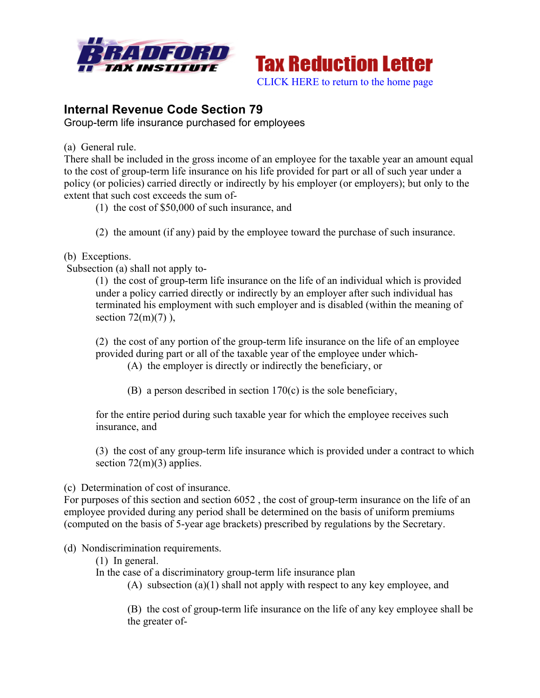



## **Internal Revenue Code Section 79**

Group-term life insurance purchased for employees

(a) General rule.

There shall be included in the gross income of an employee for the taxable year an amount equal to the cost of group-term life insurance on his life provided for part or all of such year under a policy (or policies) carried directly or indirectly by his employer (or employers); but only to the extent that such cost exceeds the sum of-

- (1) the cost of \$50,000 of such insurance, and
- (2) the amount (if any) paid by the employee toward the purchase of such insurance.

## (b) Exceptions.

Subsection (a) shall not apply to-

(1) the cost of group-term life insurance on the life of an individual which is provided under a policy carried directly or indirectly by an employer after such individual has terminated his employment with such employer and is disabled (within the meaning of section  $72(m)(7)$ ),

(2) the cost of any portion of the group-term life insurance on the life of an employee provided during part or all of the taxable year of the employee under which-

(A) the employer is directly or indirectly the beneficiary, or

(B) a person described in section 170(c) is the sole beneficiary,

for the entire period during such taxable year for which the employee receives such insurance, and

(3) the cost of any group-term life insurance which is provided under a contract to which section  $72(m)(3)$  applies.

(c) Determination of cost of insurance.

For purposes of this section and section 6052 , the cost of group-term insurance on the life of an employee provided during any period shall be determined on the basis of uniform premiums (computed on the basis of 5-year age brackets) prescribed by regulations by the Secretary.

## (d) Nondiscrimination requirements.

(1) In general.

In the case of a discriminatory group-term life insurance plan

(A) subsection (a)(1) shall not apply with respect to any key employee, and

(B) the cost of group-term life insurance on the life of any key employee shall be the greater of-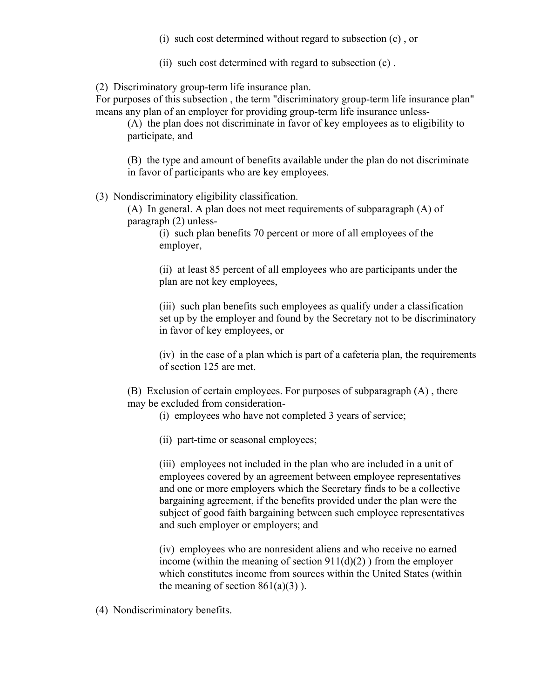- (i) such cost determined without regard to subsection (c) , or
- (ii) such cost determined with regard to subsection (c) .

(2) Discriminatory group-term life insurance plan.

For purposes of this subsection , the term "discriminatory group-term life insurance plan" means any plan of an employer for providing group-term life insurance unless-

(A) the plan does not discriminate in favor of key employees as to eligibility to participate, and

(B) the type and amount of benefits available under the plan do not discriminate in favor of participants who are key employees.

(3) Nondiscriminatory eligibility classification.

(A) In general. A plan does not meet requirements of subparagraph (A) of paragraph (2) unless-

> (i) such plan benefits 70 percent or more of all employees of the employer,

(ii) at least 85 percent of all employees who are participants under the plan are not key employees,

(iii) such plan benefits such employees as qualify under a classification set up by the employer and found by the Secretary not to be discriminatory in favor of key employees, or

(iv) in the case of a plan which is part of a cafeteria plan, the requirements of section 125 are met.

(B) Exclusion of certain employees. For purposes of subparagraph (A) , there may be excluded from consideration-

(i) employees who have not completed 3 years of service;

(ii) part-time or seasonal employees;

(iii) employees not included in the plan who are included in a unit of employees covered by an agreement between employee representatives and one or more employers which the Secretary finds to be a collective bargaining agreement, if the benefits provided under the plan were the subject of good faith bargaining between such employee representatives and such employer or employers; and

(iv) employees who are nonresident aliens and who receive no earned income (within the meaning of section  $911(d)(2)$ ) from the employer which constitutes income from sources within the United States (within the meaning of section  $861(a)(3)$ ).

(4) Nondiscriminatory benefits.